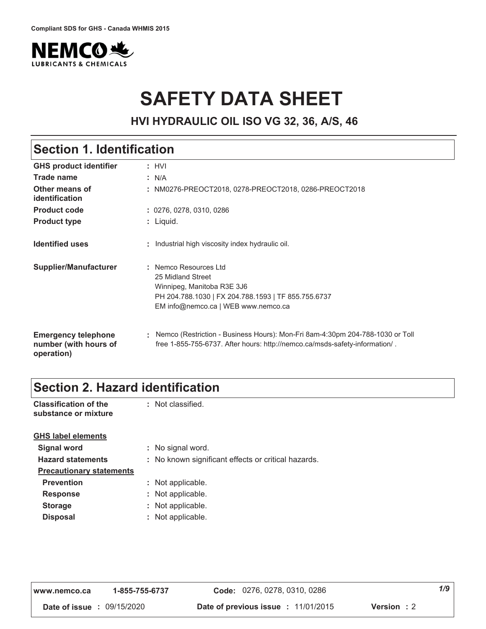

# **SAFETY DATA SHEET**

**HVI HYDRAULIC OIL ISO VG 32, 36, A/S, 46**

| <b>Section 1. Identification</b>                                  |                                                                                                                                                                         |  |
|-------------------------------------------------------------------|-------------------------------------------------------------------------------------------------------------------------------------------------------------------------|--|
| <b>GHS product identifier</b>                                     | : HVI                                                                                                                                                                   |  |
| Trade name                                                        | : N/A                                                                                                                                                                   |  |
| Other means of<br>identification                                  | NM0276-PREOCT2018, 0278-PREOCT2018, 0286-PREOCT2018                                                                                                                     |  |
| <b>Product code</b>                                               | : 0276, 0278, 0310, 0286                                                                                                                                                |  |
| <b>Product type</b>                                               | : Liquid.                                                                                                                                                               |  |
| <b>Identified uses</b>                                            | Industrial high viscosity index hydraulic oil.                                                                                                                          |  |
| Supplier/Manufacturer                                             | : Nemco Resources I td<br>25 Midland Street<br>Winnipeg, Manitoba R3E 3J6<br>PH 204.788.1030   FX 204.788.1593   TF 855.755.6737<br>EM info@nemco.ca   WEB www.nemco.ca |  |
| <b>Emergency telephone</b><br>number (with hours of<br>operation) | Nemco (Restriction - Business Hours): Mon-Fri 8am-4:30pm 204-788-1030 or Toll<br>free 1-855-755-6737. After hours: http://nemco.ca/msds-safety-information/.            |  |

## **Section 2. Hazard identification**

| <b>Classification of the</b><br>substance or mixture | : Not classified. |
|------------------------------------------------------|-------------------|
| <b>GHS label elements</b>                            |                   |

| <b>Signal word</b>              | : No signal word.                                   |
|---------------------------------|-----------------------------------------------------|
| <b>Hazard statements</b>        | : No known significant effects or critical hazards. |
| <b>Precautionary statements</b> |                                                     |
| <b>Prevention</b>               | : Not applicable.                                   |
| <b>Response</b>                 | : Not applicable.                                   |
| <b>Storage</b>                  | : Not applicable.                                   |
| <b>Disposal</b>                 | : Not applicable.                                   |

| www.nemco.ca                      | 1-855-755-6737 | Code: 0276, 0278, 0310, 0286       |                    | 1/9 |
|-----------------------------------|----------------|------------------------------------|--------------------|-----|
| <b>Date of issue : 09/15/2020</b> |                | Date of previous issue: 11/01/2015 | <b>Version</b> : 2 |     |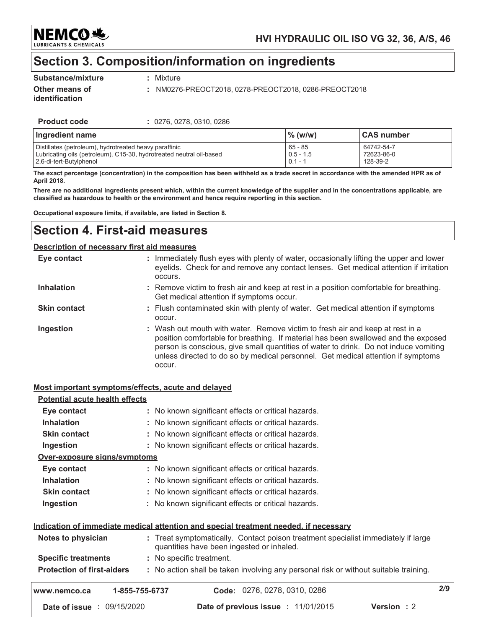NEMC0头 **LUBRICANTS & CHEMICALS** 

### Section 3. Composition/information on ingredients

#### Substance/mixture

: Mixture

Other means of identification

: NM0276-PREOCT2018, 0278-PREOCT2018, 0286-PREOCT2018

**Product code** 

: 0276, 0278, 0310, 0286

| Ingredient name                                                      | $\%$ (w/w)  | <b>CAS number</b> |
|----------------------------------------------------------------------|-------------|-------------------|
| Distillates (petroleum), hydrotreated heavy paraffinic               | 65 - 85     | 64742-54-7        |
| Lubricating oils (petroleum), C15-30, hydrotreated neutral oil-based | $0.5 - 1.5$ | 72623-86-0        |
| 2.6-di-tert-Butylphenol                                              | $0.1 - 1$   | 128-39-2          |

The exact percentage (concentration) in the composition has been withheld as a trade secret in accordance with the amended HPR as of April 2018.

There are no additional ingredients present which, within the current knowledge of the supplier and in the concentrations applicable, are classified as hazardous to health or the environment and hence require reporting in this section.

Occupational exposure limits, if available, are listed in Section 8.

## **Section 4. First-aid measures**

| Description of necessary first aid measures |                                                                                                                                                                                                                                                                                                                                                           |  |  |  |
|---------------------------------------------|-----------------------------------------------------------------------------------------------------------------------------------------------------------------------------------------------------------------------------------------------------------------------------------------------------------------------------------------------------------|--|--|--|
| Eye contact                                 | : Immediately flush eyes with plenty of water, occasionally lifting the upper and lower<br>eyelids. Check for and remove any contact lenses. Get medical attention if irritation<br>occurs.                                                                                                                                                               |  |  |  |
| <b>Inhalation</b>                           | : Remove victim to fresh air and keep at rest in a position comfortable for breathing.<br>Get medical attention if symptoms occur.                                                                                                                                                                                                                        |  |  |  |
| <b>Skin contact</b>                         | : Flush contaminated skin with plenty of water. Get medical attention if symptoms<br>occur.                                                                                                                                                                                                                                                               |  |  |  |
| Ingestion                                   | : Wash out mouth with water. Remove victim to fresh air and keep at rest in a<br>position comfortable for breathing. If material has been swallowed and the exposed<br>person is conscious, give small quantities of water to drink. Do not induce vomiting<br>unless directed to do so by medical personnel. Get medical attention if symptoms<br>occur. |  |  |  |

#### Most important symptoms/effects, acute and delayed

| <b>Potential acute health effects</b> |                                                                                                                                |     |
|---------------------------------------|--------------------------------------------------------------------------------------------------------------------------------|-----|
| Eye contact                           | : No known significant effects or critical hazards.                                                                            |     |
| <b>Inhalation</b>                     | : No known significant effects or critical hazards.                                                                            |     |
| <b>Skin contact</b>                   | : No known significant effects or critical hazards.                                                                            |     |
| Ingestion                             | : No known significant effects or critical hazards.                                                                            |     |
| Over-exposure signs/symptoms          |                                                                                                                                |     |
| Eye contact                           | : No known significant effects or critical hazards.                                                                            |     |
| <b>Inhalation</b>                     | : No known significant effects or critical hazards.                                                                            |     |
| <b>Skin contact</b>                   | : No known significant effects or critical hazards.                                                                            |     |
| Ingestion                             | : No known significant effects or critical hazards.                                                                            |     |
|                                       | Indication of immediate medical attention and special treatment needed, if necessary                                           |     |
| Notes to physician                    | : Treat symptomatically. Contact poison treatment specialist immediately if large<br>quantities have been ingested or inhaled. |     |
| <b>Specific treatments</b>            | : No specific treatment.                                                                                                       |     |
| <b>Protection of first-aiders</b>     | : No action shall be taken involving any personal risk or without suitable training.                                           |     |
| www.nemco.ca                          | Code: 0276, 0278, 0310, 0286<br>1-855-755-6737                                                                                 | 2/9 |
| Date of issue : 09/15/2020            | <b>Version: 2</b><br>Date of previous issue : 11/01/2015                                                                       |     |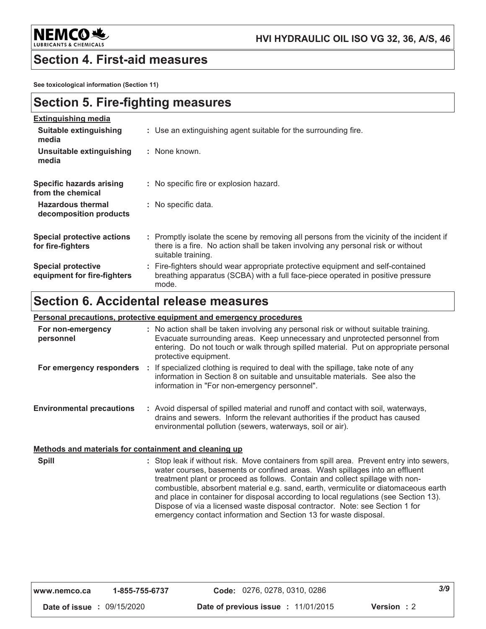

### **Section 4. First-aid measures**

See toxicological information (Section 11)

### **Section 5. Fire-fighting measures**

| <b>Extinguishing media</b>                               |                                                                                                                                                                                                     |
|----------------------------------------------------------|-----------------------------------------------------------------------------------------------------------------------------------------------------------------------------------------------------|
| Suitable extinguishing<br>media                          | : Use an extinguishing agent suitable for the surrounding fire.                                                                                                                                     |
| Unsuitable extinguishing<br>media                        | : None known.                                                                                                                                                                                       |
| Specific hazards arising<br>from the chemical            | : No specific fire or explosion hazard.                                                                                                                                                             |
| <b>Hazardous thermal</b><br>decomposition products       | : No specific data.                                                                                                                                                                                 |
| <b>Special protective actions</b><br>for fire-fighters   | : Promptly isolate the scene by removing all persons from the vicinity of the incident if<br>there is a fire. No action shall be taken involving any personal risk or without<br>suitable training. |
| <b>Special protective</b><br>equipment for fire-fighters | : Fire-fighters should wear appropriate protective equipment and self-contained<br>breathing apparatus (SCBA) with a full face-piece operated in positive pressure<br>mode.                         |

### **Section 6. Accidental release measures**

#### Personal precautions, protective equipment and emergency procedures

| For non-emergency<br>personnel   |    | : No action shall be taken involving any personal risk or without suitable training.<br>Evacuate surrounding areas. Keep unnecessary and unprotected personnel from<br>entering. Do not touch or walk through spilled material. Put on appropriate personal<br>protective equipment. |
|----------------------------------|----|--------------------------------------------------------------------------------------------------------------------------------------------------------------------------------------------------------------------------------------------------------------------------------------|
| For emergency responders         | ÷. | If specialized clothing is required to deal with the spillage, take note of any<br>information in Section 8 on suitable and unsuitable materials. See also the<br>information in "For non-emergency personnel".                                                                      |
| <b>Environmental precautions</b> |    | : Avoid dispersal of spilled material and runoff and contact with soil, waterways,<br>drains and sewers. Inform the relevant authorities if the product has caused<br>environmental pollution (sewers, waterways, soil or air).                                                      |

#### Methods and materials for containment and cleaning up

: Stop leak if without risk. Move containers from spill area. Prevent entry into sewers, **Spill** water courses, basements or confined areas. Wash spillages into an effluent treatment plant or proceed as follows. Contain and collect spillage with noncombustible, absorbent material e.g. sand, earth, vermiculite or diatomaceous earth and place in container for disposal according to local regulations (see Section 13). Dispose of via a licensed waste disposal contractor. Note: see Section 1 for emergency contact information and Section 13 for waste disposal.

| www.nemco.ca                      | 1-855-755-6737 | Code: 0276, 0278, 0310, 0286               |            | 3/9 |
|-----------------------------------|----------------|--------------------------------------------|------------|-----|
| <b>Date of issue : 09/15/2020</b> |                | <b>Date of previous issue : 11/01/2015</b> | Version: 2 |     |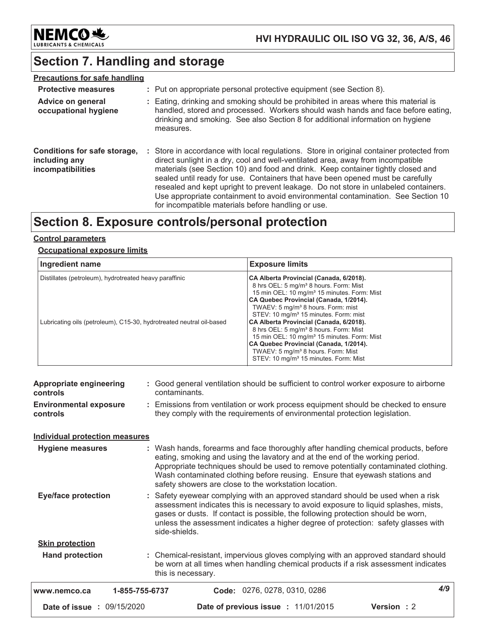

# **Section 7. Handling and storage**

| <b>Precautions for safe handling</b>                               |                                                                                                                                                                                                                                                                                                                                                                                                                                                                                                                                                                                    |
|--------------------------------------------------------------------|------------------------------------------------------------------------------------------------------------------------------------------------------------------------------------------------------------------------------------------------------------------------------------------------------------------------------------------------------------------------------------------------------------------------------------------------------------------------------------------------------------------------------------------------------------------------------------|
| <b>Protective measures</b>                                         | : Put on appropriate personal protective equipment (see Section 8).                                                                                                                                                                                                                                                                                                                                                                                                                                                                                                                |
| Advice on general<br>occupational hygiene                          | : Eating, drinking and smoking should be prohibited in areas where this material is<br>handled, stored and processed. Workers should wash hands and face before eating,<br>drinking and smoking. See also Section 8 for additional information on hygiene<br>measures.                                                                                                                                                                                                                                                                                                             |
| Conditions for safe storage,<br>including any<br>incompatibilities | : Store in accordance with local regulations. Store in original container protected from<br>direct sunlight in a dry, cool and well-ventilated area, away from incompatible<br>materials (see Section 10) and food and drink. Keep container tightly closed and<br>sealed until ready for use. Containers that have been opened must be carefully<br>resealed and kept upright to prevent leakage. Do not store in unlabeled containers.<br>Use appropriate containment to avoid environmental contamination. See Section 10<br>for incompatible materials before handling or use. |

### Section 8. Exposure controls/personal protection

### **Control parameters**

### **Occupational exposure limits**

| Ingredient name                                                                                                                | <b>Exposure limits</b>                                                                                                                                                                                                                                                                                                                                                                                                                                                                                                                                            |
|--------------------------------------------------------------------------------------------------------------------------------|-------------------------------------------------------------------------------------------------------------------------------------------------------------------------------------------------------------------------------------------------------------------------------------------------------------------------------------------------------------------------------------------------------------------------------------------------------------------------------------------------------------------------------------------------------------------|
| Distillates (petroleum), hydrotreated heavy paraffinic<br>Lubricating oils (petroleum), C15-30, hydrotreated neutral oil-based | CA Alberta Provincial (Canada, 6/2018).<br>8 hrs OEL: 5 mg/m <sup>3</sup> 8 hours. Form: Mist<br>15 min OEL: 10 mg/m <sup>3</sup> 15 minutes. Form: Mist<br>CA Quebec Provincial (Canada, 1/2014).<br>TWAEV: 5 mg/m <sup>3</sup> 8 hours. Form: mist<br>STEV: 10 mg/m <sup>3</sup> 15 minutes. Form: mist<br>CA Alberta Provincial (Canada, 6/2018).<br>8 hrs OEL: 5 mg/m <sup>3</sup> 8 hours. Form: Mist<br>15 min OEL: 10 mg/m <sup>3</sup> 15 minutes. Form: Mist<br>CA Quebec Provincial (Canada, 1/2014).<br>TWAEV: 5 mg/m <sup>3</sup> 8 hours. Form: Mist |
|                                                                                                                                | STEV: 10 mg/m <sup>3</sup> 15 minutes. Form: Mist                                                                                                                                                                                                                                                                                                                                                                                                                                                                                                                 |

| <b>Appropriate engineering</b><br>controls<br><b>Environmental exposure</b><br>controls                                                                                                                                                                                        | : Good general ventilation should be sufficient to control worker exposure to airborne<br>contaminants.<br>: Emissions from ventilation or work process equipment should be checked to ensure<br>they comply with the requirements of environmental protection legislation.                                                                                                                                                                                                          |  |  |  |
|--------------------------------------------------------------------------------------------------------------------------------------------------------------------------------------------------------------------------------------------------------------------------------|--------------------------------------------------------------------------------------------------------------------------------------------------------------------------------------------------------------------------------------------------------------------------------------------------------------------------------------------------------------------------------------------------------------------------------------------------------------------------------------|--|--|--|
| <b>Individual protection measures</b>                                                                                                                                                                                                                                          |                                                                                                                                                                                                                                                                                                                                                                                                                                                                                      |  |  |  |
| <b>Hygiene measures</b><br><b>Eye/face protection</b>                                                                                                                                                                                                                          | : Wash hands, forearms and face thoroughly after handling chemical products, before<br>eating, smoking and using the lavatory and at the end of the working period.<br>Appropriate techniques should be used to remove potentially contaminated clothing.<br>Wash contaminated clothing before reusing. Ensure that eyewash stations and<br>safety showers are close to the workstation location.<br>: Safety eyewear complying with an approved standard should be used when a risk |  |  |  |
| assessment indicates this is necessary to avoid exposure to liquid splashes, mists,<br>gases or dusts. If contact is possible, the following protection should be worn,<br>unless the assessment indicates a higher degree of protection: safety glasses with<br>side-shields. |                                                                                                                                                                                                                                                                                                                                                                                                                                                                                      |  |  |  |
| <b>Skin protection</b>                                                                                                                                                                                                                                                         |                                                                                                                                                                                                                                                                                                                                                                                                                                                                                      |  |  |  |
| <b>Hand protection</b>                                                                                                                                                                                                                                                         | : Chemical-resistant, impervious gloves complying with an approved standard should<br>be worn at all times when handling chemical products if a risk assessment indicates<br>this is necessary.                                                                                                                                                                                                                                                                                      |  |  |  |
| 1-855-755-6737<br>www.nemco.ca                                                                                                                                                                                                                                                 | 4/9<br>Code: 0276, 0278, 0310, 0286                                                                                                                                                                                                                                                                                                                                                                                                                                                  |  |  |  |
| <b>Date of issue : 09/15/2020</b>                                                                                                                                                                                                                                              | Version: 2<br>Date of previous issue : 11/01/2015                                                                                                                                                                                                                                                                                                                                                                                                                                    |  |  |  |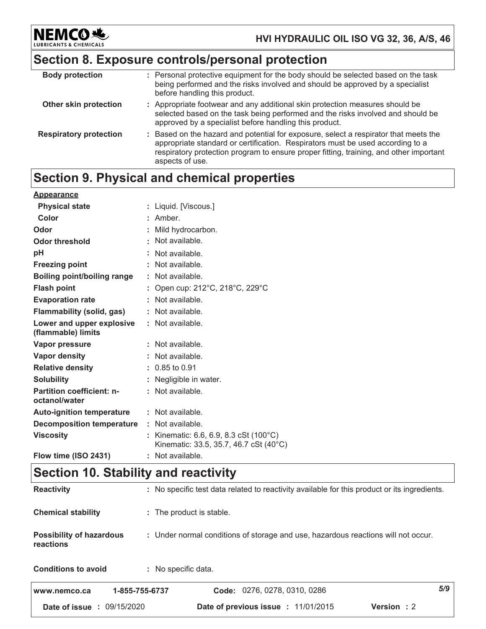**NEMCO头** LUBRIC

### HVI HYDRAULIC OIL ISO VG 32, 36, A/S, 46

# Section 8. Exposure controls/personal protection

| <b>Body protection</b>        | : Personal protective equipment for the body should be selected based on the task<br>being performed and the risks involved and should be approved by a specialist<br>before handling this product.                                                                                 |
|-------------------------------|-------------------------------------------------------------------------------------------------------------------------------------------------------------------------------------------------------------------------------------------------------------------------------------|
| Other skin protection         | : Appropriate footwear and any additional skin protection measures should be<br>selected based on the task being performed and the risks involved and should be<br>approved by a specialist before handling this product.                                                           |
| <b>Respiratory protection</b> | : Based on the hazard and potential for exposure, select a respirator that meets the<br>appropriate standard or certification. Respirators must be used according to a<br>respiratory protection program to ensure proper fitting, training, and other important<br>aspects of use. |

# Section 9. Physical and chemical properties

| <b>Appearance</b>                                 |                                                                                  |
|---------------------------------------------------|----------------------------------------------------------------------------------|
| <b>Physical state</b>                             | : Liquid. [Viscous.]                                                             |
| Color                                             | $:$ Amber.                                                                       |
| Odor                                              | : Mild hydrocarbon.                                                              |
| <b>Odor threshold</b>                             | : Not available.                                                                 |
| рH                                                | : Not available.                                                                 |
| <b>Freezing point</b>                             | : Not available.                                                                 |
| Boiling point/boiling range                       | : Not available.                                                                 |
| <b>Flash point</b>                                | : Open cup: 212°C, 218°C, 229°C                                                  |
| <b>Evaporation rate</b>                           | : Not available.                                                                 |
| <b>Flammability (solid, gas)</b>                  | $:$ Not available.                                                               |
| Lower and upper explosive<br>(flammable) limits   | : Not available.                                                                 |
| Vapor pressure                                    | : Not available.                                                                 |
| Vapor density                                     | : Not available.                                                                 |
| <b>Relative density</b>                           | $: 0.85$ to 0.91                                                                 |
| <b>Solubility</b>                                 | : Negligible in water.                                                           |
| <b>Partition coefficient: n-</b><br>octanol/water | : Not available.                                                                 |
| <b>Auto-ignition temperature</b>                  | : Not available.                                                                 |
| <b>Decomposition temperature</b>                  | : Not available.                                                                 |
| <b>Viscosity</b>                                  | : Kinematic: 6.6, 6.9, 8.3 cSt (100°C)<br>Kinematic: 33.5, 35.7, 46.7 cSt (40°C) |
| Flow time (ISO 2431)                              | : Not available.                                                                 |

# **Section 10. Stability and reactivity**

| <b>Date of issue : 09/15/2020</b>                                                                                                 | <b>Date of previous issue : 11/01/2015</b><br>Version: 2 |     |  |
|-----------------------------------------------------------------------------------------------------------------------------------|----------------------------------------------------------|-----|--|
| 1-855-755-6737<br>www.nemco.ca                                                                                                    | Code: 0276, 0278, 0310, 0286                             | 5/9 |  |
| <b>Conditions to avoid</b>                                                                                                        | : No specific data.                                      |     |  |
| <b>Possibility of hazardous</b><br>: Under normal conditions of storage and use, hazardous reactions will not occur.<br>reactions |                                                          |     |  |
| <b>Chemical stability</b><br>: The product is stable.                                                                             |                                                          |     |  |
| <b>Reactivity</b><br>: No specific test data related to reactivity available for this product or its ingredients.                 |                                                          |     |  |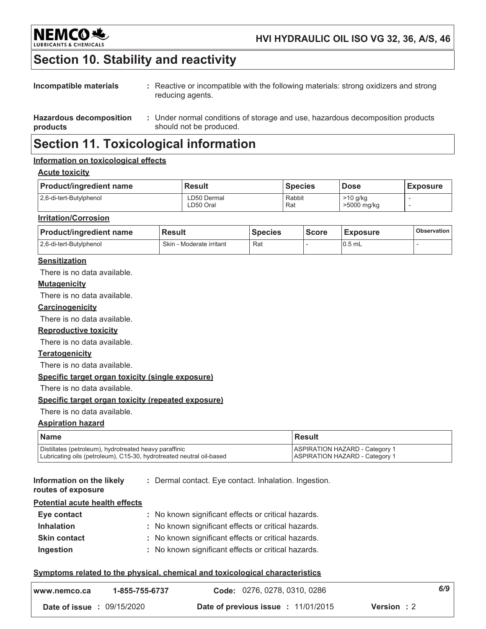

### HVI HYDRAULIC OIL ISO VG 32, 36, A/S, 46

# Section 10. Stability and reactivity

| Incompatible materials                     | : Reactive or incompatible with the following materials: strong oxidizers and strong<br>reducing agents.  |
|--------------------------------------------|-----------------------------------------------------------------------------------------------------------|
| <b>Hazardous decomposition</b><br>products | : Under normal conditions of storage and use, hazardous decomposition products<br>should not be produced. |

### **Section 11. Toxicological information**

#### Information on toxicological effects

#### **Acute toxicity**

| <b>Product/ingredient name</b> | <b>Result</b>            | <b>Species</b> | <b>Dose</b>               | <b>Exposure</b> |
|--------------------------------|--------------------------|----------------|---------------------------|-----------------|
| 2,6-di-tert-Butylphenol        | LD50 Dermal<br>∟D50 Oral | Rabbit<br>Rat  | $>10$ g/kg<br>>5000 mg/kg |                 |

#### **Irritation/Corrosion**

| <b>Product/ingredient name</b> | l Result                 | <b>Species</b> | <b>Score</b> | <b>Exposure</b> | <b>Observation</b> |
|--------------------------------|--------------------------|----------------|--------------|-----------------|--------------------|
| 2,6-di-tert-Butylphenol        | Skin - Moderate irritant | Rat            |              | $0.5$ mL        |                    |

#### **Sensitization**

There is no data available.

#### **Mutagenicity**

There is no data available.

#### Carcinogenicity

There is no data available.

#### **Reproductive toxicity**

There is no data available.

#### **Teratogenicity**

There is no data available.

#### Specific target organ toxicity (single exposure)

There is no data available.

#### Specific target organ toxicity (repeated exposure)

There is no data available.

#### **Aspiration hazard**

| l Name                                                               | l Result                              |
|----------------------------------------------------------------------|---------------------------------------|
| Distillates (petroleum), hydrotreated heavy paraffinic               | <b>ASPIRATION HAZARD - Category 1</b> |
| Lubricating oils (petroleum), C15-30, hydrotreated neutral oil-based | <b>ASPIRATION HAZARD - Category 1</b> |

Information on the likely : Dermal contact. Eye contact. Inhalation. Ingestion.

### routes of exposure

**Potential acute health effects** 

| Eye contact         | : No known significant effects or critical hazards. |
|---------------------|-----------------------------------------------------|
| <b>Inhalation</b>   | : No known significant effects or critical hazards. |
| <b>Skin contact</b> | : No known significant effects or critical hazards. |
| Ingestion           | : No known significant effects or critical hazards. |

#### Symptoms related to the physical, chemical and toxicological characteristics

| www.nemco.ca | 1-855-755-6737                    | Code: 0276, 0278, 0310, 0286        |                    | 6/9 |
|--------------|-----------------------------------|-------------------------------------|--------------------|-----|
|              | <b>Date of issue : 09/15/2020</b> | Date of previous issue : 11/01/2015 | <b>Version</b> : 2 |     |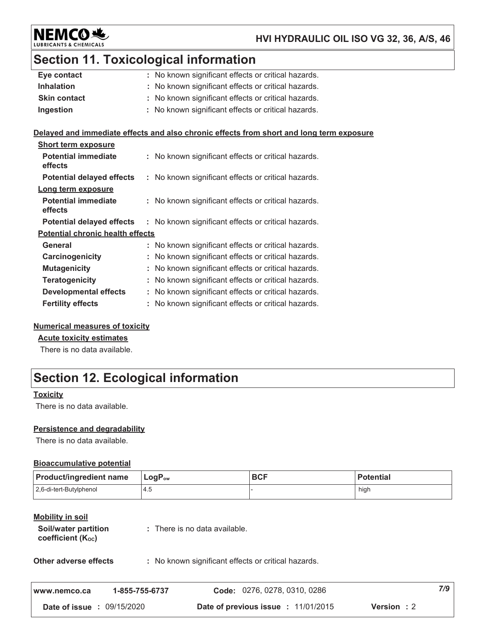

### HVI HYDRAULIC OIL ISO VG 32, 36, A/S, 46

# **Section 11. Toxicological information**

| Eye contact                             |    | : No known significant effects or critical hazards.                                      |
|-----------------------------------------|----|------------------------------------------------------------------------------------------|
| <b>Inhalation</b>                       |    | : No known significant effects or critical hazards.                                      |
| <b>Skin contact</b>                     |    | No known significant effects or critical hazards.                                        |
| Ingestion                               |    | : No known significant effects or critical hazards.                                      |
|                                         |    |                                                                                          |
|                                         |    | Delayed and immediate effects and also chronic effects from short and long term exposure |
| <b>Short term exposure</b>              |    |                                                                                          |
| <b>Potential immediate</b><br>effects   |    | : No known significant effects or critical hazards.                                      |
|                                         |    | <b>Potential delayed effects</b> : No known significant effects or critical hazards.     |
| Long term exposure                      |    |                                                                                          |
| <b>Potential immediate</b><br>effects   |    | : No known significant effects or critical hazards.                                      |
| <b>Potential delayed effects</b>        |    | : No known significant effects or critical hazards.                                      |
| <b>Potential chronic health effects</b> |    |                                                                                          |
| <b>General</b>                          |    | : No known significant effects or critical hazards.                                      |
| Carcinogenicity                         |    | No known significant effects or critical hazards.                                        |
| <b>Mutagenicity</b>                     |    | No known significant effects or critical hazards.                                        |
| <b>Teratogenicity</b>                   |    | No known significant effects or critical hazards.                                        |
| <b>Developmental effects</b>            | t. | No known significant effects or critical hazards.                                        |
| <b>Fertility effects</b>                |    | : No known significant effects or critical hazards.                                      |

### **Numerical measures of toxicity**

**Acute toxicity estimates** 

There is no data available.

# **Section 12. Ecological information**

#### **Toxicity**

There is no data available.

#### Persistence and degradability

There is no data available.

#### **Bioaccumulative potential**

| <b>Product/ingredient name</b>                                            | LogP <sub>ow</sub>                                  | <b>BCF</b>                   | <b>Potential</b> |
|---------------------------------------------------------------------------|-----------------------------------------------------|------------------------------|------------------|
| 2,6-di-tert-Butylphenol                                                   | 4.5                                                 |                              | high             |
| <b>Mobility in soil</b><br>Soil/water partition<br>coefficient $(K_{oc})$ | : There is no data available.                       |                              |                  |
| Other adverse effects                                                     | : No known significant effects or critical hazards. |                              |                  |
| www.nemco.ca                                                              | 1-855-755-6737                                      | Code: 0276, 0278, 0310, 0286 | 7/9              |

Date of issue: 09/15/2020 Date of previous issue : 11/01/2015 Version : 2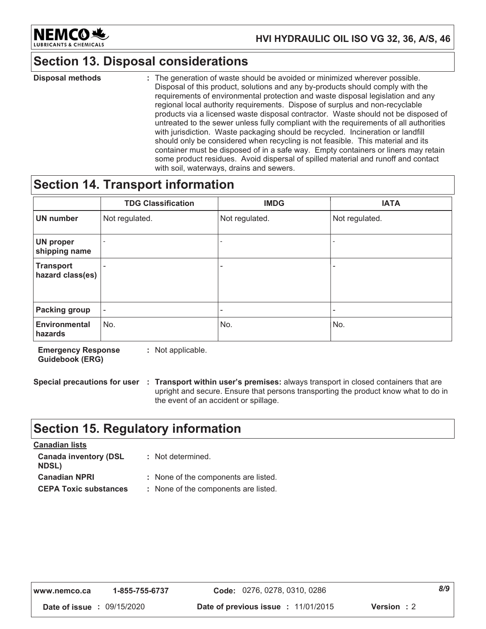

### HVI HYDRAULIC OIL ISO VG 32, 36, A/S, 46

### **Section 13. Disposal considerations**

**Disposal methods** : The generation of waste should be avoided or minimized wherever possible. Disposal of this product, solutions and any by-products should comply with the requirements of environmental protection and waste disposal legislation and any regional local authority requirements. Dispose of surplus and non-recyclable products via a licensed waste disposal contractor. Waste should not be disposed of untreated to the sewer unless fully compliant with the requirements of all authorities with jurisdiction. Waste packaging should be recycled. Incineration or landfill should only be considered when recycling is not feasible. This material and its container must be disposed of in a safe way. Empty containers or liners may retain some product residues. Avoid dispersal of spilled material and runoff and contact with soil, waterways, drains and sewers.

### **Section 14. Transport information**

|                                      | <b>TDG Classification</b> | <b>IMDG</b>              | <b>IATA</b>              |
|--------------------------------------|---------------------------|--------------------------|--------------------------|
| <b>UN number</b>                     | Not regulated.            | Not regulated.           | Not regulated.           |
| <b>UN proper</b><br>shipping name    |                           | $\overline{\phantom{0}}$ | $\overline{\phantom{a}}$ |
| <b>Transport</b><br>hazard class(es) | ٠                         | ۰                        | -                        |
| Packing group                        | $\overline{\phantom{a}}$  | ۰                        | ۰                        |
| <b>Environmental</b><br>hazards      | No.                       | No.                      | No.                      |

**Emergency Response** : Not applicable. **Guidebook (ERG)** 

Special precautions for user : Transport within user's premises: always transport in closed containers that are upright and secure. Ensure that persons transporting the product know what to do in the event of an accident or spillage.

### **Section 15. Regulatory information**

| <u>Canadian lists</u>                        |                                      |
|----------------------------------------------|--------------------------------------|
| <b>Canada inventory (DSL</b><br><b>NDSL)</b> | : Not determined.                    |
| <b>Canadian NPRI</b>                         | : None of the components are listed. |
| <b>CEPA Toxic substances</b>                 | : None of the components are listed. |

 $8/9$ Code: 0276, 0278, 0310, 0286 www.nemco.ca 1-855-755-6737 Date of issue : 09/15/2020 Date of previous issue : 11/01/2015 Version: 2